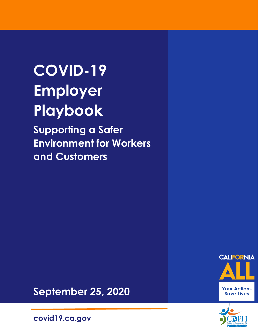# **COVID-19 Employer Playbook**

**Supporting a Safer Environment for Workers and Customers**





**September 25, 2020**

**covid19.ca.gov**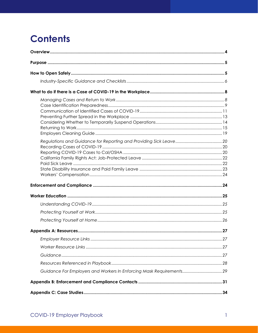# **Contents**

| Guidance For Employers and Workers In Enforcing Mask Requirements 29 |  |  |
|----------------------------------------------------------------------|--|--|
|                                                                      |  |  |
|                                                                      |  |  |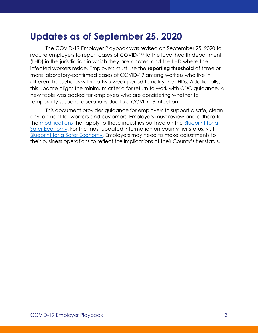### **Updates as of September 25, 2020**

The COVID-19 Employer Playbook was revised on September 25, 2020 to require employers to report cases of COVID-19 to the local health department (LHD) in the jurisdiction in which they are located and the LHD where the infected workers reside. Employers must use the **reporting threshold** of three or more laboratory-confirmed cases of COVID-19 among workers who live in different households within a two-week period to notify the LHDs. Additionally, this update aligns the minimum criteria for return to work with CDC guidance. A new table was added for employers who are considering whether to temporarily suspend operations due to a COVID-19 infection.

This document provides guidance for employers to support a safe, clean environment for workers and customers. Employers must review and adhere to the [modifications](https://www.cdph.ca.gov/Programs/CID/DCDC/CDPH%20Document%20Library/COVID-19/Dimmer-Framework-August_2020.pdf) that apply to those industries outlined on the [Blueprint](https://www.cdph.ca.gov/Programs/CID/DCDC/Pages/COVID-19/COVID19CountyMonitoringOverview.aspx) for a [Safer Economy.](https://www.cdph.ca.gov/Programs/CID/DCDC/Pages/COVID-19/COVID19CountyMonitoringOverview.aspx) For the most updated information on county tier status, visit [Blueprint for a Safer Economy.](https://urldefense.proofpoint.com/v2/url?u=https-3A__covid19.ca.gov_safer-2Deconomy_&d=DwMFAg&c=Lr0a7ed3egkbwePCNW4ROg&r=fef1hjk_Y2FGCvP-8_f4Gs0ZoJ_VhGXGHsqsBOVmumY&m=vg4ObBrZKnEel5OaALR1p_mlfpEUjLB-o-zaJlZdqyQ&s=J2t9bJpJ99zipQvdGHQfKOtP6lO5oemcpkXIByUKb30&e=) Employers may need to make adjustments to their business operations to reflect the implications of their County's tier status.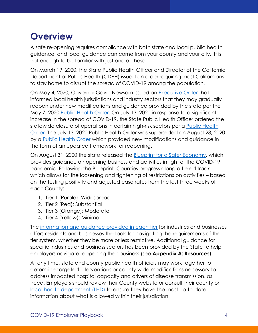# <span id="page-4-0"></span>**Overview**

A safe re-opening requires compliance with both state and local public health guidance, and local guidance can come from your county and your city. It is not enough to be familiar with just one of these.

On March 19, 2020, the State Public Health Officer and Director of the California Department of Public Health (CDPH) issued an order requiring most Californians to stay home to disrupt the spread of COVID-19 among the population.

On May 4, 2020, Governor Gavin Newsom issued an [Executive Order](https://www.gov.ca.gov/wp-content/uploads/2020/05/5.4.20-EO-N-60-20.pdf) that informed local health jurisdictions and industry sectors that they may gradually reopen under new modifications and guidance provided by the state per the May 7, 2020 [Public Health Order.](https://www.cdph.ca.gov/Programs/CID/DCDC/CDPH%20Document%20Library/COVID-19/SHO%20Order%205-7-2020.pdf) On July 13, 2020 in response to a significant increase in the spread of COVID-19, the State Public Health Officer ordered the statewide closure of operations in certain high-risk sectors per a [Public Health](https://www.cdph.ca.gov/Programs/CID/DCDC/CDPH%20Document%20Library/COVID-19/SHO%20Order%20Dimming%20Entire%20State%207-13-2020.pdf)  [Order.](https://www.cdph.ca.gov/Programs/CID/DCDC/CDPH%20Document%20Library/COVID-19/SHO%20Order%20Dimming%20Entire%20State%207-13-2020.pdf) The July 13, 2020 Public Health Order was superseded on August 28, 2020 by a [Public Health Order](https://www.cdph.ca.gov/Programs/CID/DCDC/CDPH%20Document%20Library/COVID-19/8-28-20_Order-Plan-Reducing-COVID19-Adjusting-Permitted-Sectors-Signed.pdf) which provided new modifications and guidance in the form of an updated framework for reopening.

On August 31, 2020 the state released the **[Blueprint](https://covid19.ca.gov/roadmap/) [for](https://covid19.ca.gov/safer-economy/) a Safer Economy**, which provides guidance on opening business and activities in light of the COVID-19 pandemic. Following the Blueprint, Counties progress along a tiered track – which allows for the loosening and tightening of restrictions on activities – based on the testing positivity and adjusted case rates from the last three weeks of each County:

- 1. Tier 1 (Purple): Widespread
- 2. Tier 2 (Red): Substantial
- 3. Tier 3 (Orange): Moderate
- 4. Tier 4 (Yellow): Minimal

The [information and guidance provided in each tier](https://www.cdph.ca.gov/Programs/CID/DCDC/CDPH%20Document%20Library/COVID-19/Dimmer-Framework-August_2020.pdf) for industries and businesses offers residents and businesses the tools for navigating the requirements of the tier system, whether they be more or less restrictive. Additional guidance for specific industries and business sectors has been provided by the State to help employers navigate reopening their business (see **[Appendix A: Resources](#page-27-0)**).

At any time, state and county public health officials may work together to determine targeted interventions or county wide modifications necessary to address impacted hospital capacity and drivers of disease transmission, as need. Employers should review their County website or consult their county or [local health department \(LHD\)](https://www.cdph.ca.gov/Pages/LocalHealthServicesAndOffices.aspx) to ensure they have the most up-to-date information about what is allowed within their jurisdiction.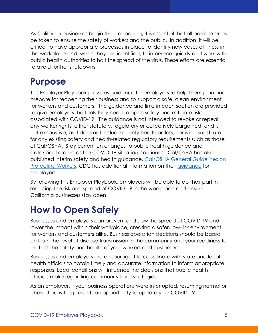As California businesses begin their reopening, it is essential that all possible steps be taken to ensure the safety of workers and the public. In addition, it will be critical to have appropriate processes in place to identify new cases of illness in the workplace and, when they are identified, to intervene quickly and work with public health authorities to halt the spread of the virus. These efforts are essential to avoid further shutdowns.

# <span id="page-5-0"></span>**Purpose**

This Employer Playbook provides guidance for employers to help them plan and prepare for reopening their business and to support a safe, clean environment for workers and customers. The guidance and links in each section are provided to give employers the tools they need to open safely and mitigate risks associated with COVID-19. The guidance is not intended to revoke or repeal any worker rights, either statutory, regulatory or collectively bargained, and is not exhaustive, as it does not include county health orders, nor is it a substitute for any existing safety and health-related regulatory requirements such as those of Cal/OSHA. Stay current on changes to public health guidance and state/local orders, as the COVID-19 situation continues. Cal/OSHA has also published interim safety and health guidance, [Cal/OSHA General Guidelines on](https://www.dir.ca.gov/dosh/coronavirus/Health-Care-General-Industry.html)  [Protecting Workers.](https://www.dir.ca.gov/dosh/coronavirus/Health-Care-General-Industry.html) CDC has additional information on their [guidance](https://www.cdc.gov/coronavirus/2019-ncov/community/guidance-business-response.html?CDC_AA_refVal=https%3A%2F%2Fwww.cdc.gov%2Fcoronavirus%2F2019-ncov%2Fspecific-groups%2Fguidance-business-response.html) for employers.

By following this Employer Playbook, employers will be able to do their part in reducing the risk and spread of COVID-19 in the workplace and ensure California businesses stay open.

# <span id="page-5-1"></span>**How to Open Safely**

Businesses and employers can prevent and slow the spread of COVID-19 and lower the impact within their workplace, creating a safer, low-risk environment for workers and customers alike. Business operation decisions should be based on both the level of disease transmission in the community and your readiness to protect the safety and health of your workers and customers.

Businesses and employers are encouraged to coordinate with state and local health officials to obtain timely and accurate information to inform appropriate responses. Local conditions will influence the decisions that public health officials make regarding community-level strategies.

As an employer, if your business operations were interrupted, resuming normal or phased activities presents an opportunity to update your COVID-19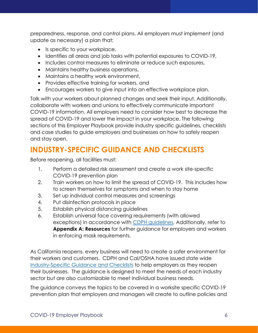preparedness, response, and control plans. All employers must implement (and update as necessary) a plan that:

- Is specific to your workplace,
- Identifies all areas and job tasks with potential exposures to COVID-19,
- Includes control measures to eliminate or reduce such exposures,
- Maintains healthy business operations,
- Maintains a healthy work environment,
- Provides effective training for workers, and
- Encourages workers to give input into an effective workplace plan.

Talk with your workers about planned changes and seek their input. Additionally, collaborate with workers and unions to effectively communicate important COVID-19 information. All employers need to consider how best to decrease the spread of COVID-19 and lower the impact in your workplace. The following sections of this Employer Playbook provide industry specific guidelines, checklists and case studies to guide employers and businesses on how to safely reopen and stay open.

### <span id="page-6-0"></span>**INDUSTRY-SPECIFIC GUIDANCE AND CHECKLISTS**

Before reopening, all facilities must:

- 1. Perform a detailed risk assessment and create a work site-specific COVID-19 prevention plan
- 2. Train workers on how to limit the spread of COVID-19. This includes how to screen themselves for symptoms and when to stay home
- 3. Set up individual control measures and screenings
- 4. Put disinfection protocols in place
- 5. Establish physical distancing guidelines
- 6. Establish universal face covering requirements (with allowed exceptions) in accordance with [CDPH guidelines.](https://www.cdph.ca.gov/Programs/CID/DCDC/CDPH%20Document%20Library/COVID-19/Guidance-for-Face-Coverings_06-18-2020.pdf) Additionally, refer to **Appendix A: Resources** for further guidance for employers and workers in enforcing mask requirements.

As California reopens, every business will need to create a safer environment for their workers and customers. CDPH and Cal/OSHA have issued state wide [Industry-Specific Guidance and Checklists](https://covid19.ca.gov/industry-guidance/) to help employers as they reopen their businesses. The guidance is designed to meet the needs of each industry sector but are also customizable to meet individual business needs.

The guidance conveys the topics to be covered in a worksite specific COVID-19 prevention plan that employers and managers will create to outline policies and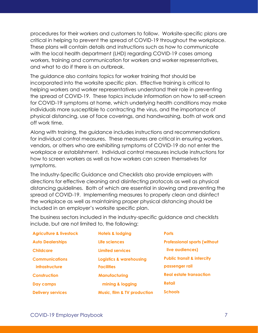procedures for their workers and customers to follow. Worksite-specific plans are critical in helping to prevent the spread of COVID-19 throughout the workplace. These plans will contain details and instructions such as how to communicate with the local health department (LHD) regarding COVID-19 cases among workers, training and communication for workers and worker representatives, and what to do if there is an outbreak.

The guidance also contains topics for worker training that should be incorporated into the worksite specific plan. Effective training is critical to helping workers and worker representatives understand their role in preventing the spread of COVID-19. These topics include information on how to self-screen for COVID-19 symptoms at home, which underlying health conditions may make individuals more susceptible to contracting the virus, and the importance of physical distancing, use of face coverings, and handwashing, both at work and off work time.

Along with training, the guidance includes instructions and recommendations for individual control measures. These measures are critical in ensuring workers, vendors, or others who are exhibiting symptoms of COVID-19 do not enter the workplace or establishment. Individual control measures include instructions for how to screen workers as well as how workers can screen themselves for symptoms.

The Industry-Specific Guidance and Checklists also provide employers with directions for effective cleaning and disinfecting protocols as well as physical distancing guidelines. Both of which are essential in slowing and preventing the spread of COVID-19. Implementing measures to properly clean and disinfect the workplace as well as maintaining proper physical distancing should be included in an employer's worksite specific plan.

The business sectors included in the industry-specific guidance and checklists include, but are not limited to, the following:

| <b>Agriculture &amp; livestock</b> | <b>Hotels &amp; lodging</b>            | <b>Ports</b>                          |
|------------------------------------|----------------------------------------|---------------------------------------|
| <b>Auto Dealerships</b>            | Life sciences                          | <b>Professional sports (without</b>   |
| <b>Childcare</b>                   | <b>Limited services</b>                | live audiences)                       |
| <b>Communications</b>              | <b>Logistics &amp; warehousing</b>     | <b>Public transit &amp; intercity</b> |
| infrastructure                     | <b>Facilities</b>                      | passenger rail                        |
| <b>Construction</b>                | <b>Manufacturing</b>                   | <b>Real estate transaction</b>        |
| Day camps                          | mining & logging                       | <b>Retail</b>                         |
| <b>Delivery services</b>           | <b>Music, film &amp; TV production</b> | <b>Schools</b>                        |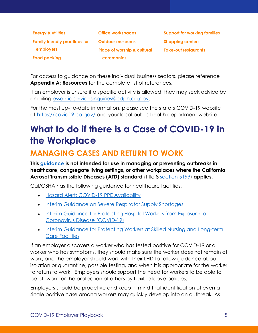| <b>Energy &amp; utilities</b>        | <b>Office workspaces</b>               |
|--------------------------------------|----------------------------------------|
| <b>Family friendly practices for</b> | <b>Outdoor museums</b>                 |
| employers                            | <b>Place of worship &amp; cultural</b> |
| <b>Food packing</b>                  | <b>ceremonies</b>                      |

**Support for working families Shopping centers Take-out restaurants**

For access to guidance on these individual business sectors, please reference **[Appendix A: Resources](#page-27-0)** for the complete list of references.

If an employer is unsure if a specific activity is allowed, they may seek advice by emailing [essentialservicesinquiries@cdph.ca.gov.](mailto:essentialservicesinquiries@cdph.ca.gov)

For the most up- to-date information, please see the state's COVID-19 website at<https://covid19.ca.gov/> and your local public health department website.

# <span id="page-8-0"></span>**What to do if there is a Case of COVID-19 in the Workplace**

### <span id="page-8-1"></span>**MANAGING CASES AND RETURN TO WORK**

**This [guidance](https://www.cdph.ca.gov/Programs/CID/DCDC/Pages/COVID-19/Workplace-Outbreak-Employer-Guidance.aspx) is not intended for use in managing or preventing outbreaks in healthcare, congregate living settings, or other workplaces where the California Aerosol Transmissible Diseases (ATD) standard** (title 8 [section 5199\)](https://www.dir.ca.gov/title8/5199.html) **applies.**

Cal/OSHA has the following guidance for healthcare facilities:

- [Hazard Alert: COVID-19 PPE Availability](https://www.dir.ca.gov/dosh/coronavirus/Hazard-Alert-Access-to-Respirators.html)
- [Interim Guidance on Severe Respirator Supply Shortages](https://www.dir.ca.gov/dosh/coronavirus/Cal-OSHA-Guidance-for-respirator-shortages.pdf)
- Interim Guidance for Protecting Hospital Workers from Exposure to [Coronavirus Disease \(COVID-19\)](https://www.dir.ca.gov/dosh/coronavirus/COVID-19-Interim-Guide-for-Hospital-Workers.html#medServ)
- [Interim Guidance for Protecting Workers at Skilled Nursing and Long-term](https://www.dir.ca.gov/dosh/Coronavirus/Skilled-Nursing.html)  [Care Facilities](https://www.dir.ca.gov/dosh/Coronavirus/Skilled-Nursing.html)

If an employer discovers a worker who has tested positive for COVID-19 or a worker who has symptoms, they should make sure the worker does not remain at work, and the employer should work with their LHD to follow guidance about isolation or quarantine, possible testing, and when it is appropriate for the worker to return to work. Employers should support the need for workers to be able to be off work for the protection of others by flexible leave policies.

Employers should be proactive and keep in mind that identification of even a single positive case among workers may quickly develop into an outbreak. As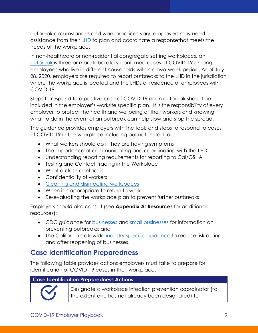outbreak circumstances and work practices vary, employers may need assistance from their [LHD](https://www.cdph.ca.gov/Pages/LocalHealthServicesAndOffices.aspx) to plan and coordinate a responsethat meets the needs of the workplace.

In non-healthcare or non-residential congregate setting workplaces, an [outbreak](https://www.cdph.ca.gov/Programs/CID/DCDC/Pages/COVID-19/OutbreakDefinitionandReportingGuidance.aspx) is three or more laboratory-confirmed cases of COVID-19 among employees who live in different households within a two-week period. As of July 28, 2020, employers are required to report outbreaks to the LHD in the jurisdiction where the workplace is located and the LHDs of residence of employees with COVID-19.

Steps to respond to a positive case of COVID-19 or an outbreak should be included in the employer's worksite specific plan. It is the responsibility of every employer to protect the health and wellbeing of their workers and knowing what to do in the event of an outbreak can help slow and stop the spread.

The guidance provides employers with the tools and steps to respond to cases of COVID-19 in the workplace including but not limited to:

- What workers should do if they are having symptoms
- The importance of communicating and coordinating with the LHD
- Understanding reporting requirements for reporting to Cal/OSHA
- Testing and Contact Tracing in the Workplace
- What a close contact is
- Confidentiality of workers
- [Cleaning and disinfecting](https://www.cdc.gov/coronavirus/2019-ncov/community/reopen-guidance.html) workspaces
- When it is appropriate to return to work
- Re-evaluating the workplace plan to prevent further outbreaks

Employers should also consult (see **[Appendix A: Resources](#page-27-0)** for additional resources):

- CDC guidance for [businesses](https://www.cdc.gov/coronavirus/2019-ncov/community/guidance-business-response.html?CDC_AA_refVal=https%3A%2F%2Fwww.cdc.gov%2Fcoronavirus%2F2019-ncov%2Fspecific-groups%2Fguidance-business-response.html) and [small businesses](https://www.cdc.gov/coronavirus/2019-ncov/community/guidance-small-business.html) for information on preventing outbreaks; and
- The California statewide [industry-specific guidance](https://covid19.ca.gov/industry-guidance/) to reduce risk during and after reopening of businesses.

#### <span id="page-9-0"></span>**Case Identification Preparedness**

The following table provides actions employers must take to prepare for identification of COVID-19 cases in their workplace.

#### **Case Identification Preparedness Actions**



Designate a workplace infection prevention coordinator (to the extent one has not already been designated) to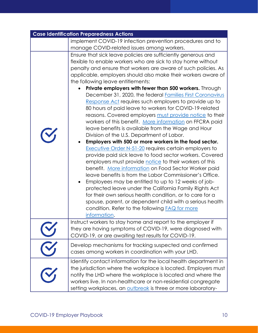| <b>Case Identification Preparedness Actions</b> |                                                                                                                                                                                                                                                                                                                                                                                                                                                                                                                                                                                                                                                                                                                                                                                                                                                                                                                                                                                                                                                                                                                                                                                                                                                                                                                                                                                                                                                              |
|-------------------------------------------------|--------------------------------------------------------------------------------------------------------------------------------------------------------------------------------------------------------------------------------------------------------------------------------------------------------------------------------------------------------------------------------------------------------------------------------------------------------------------------------------------------------------------------------------------------------------------------------------------------------------------------------------------------------------------------------------------------------------------------------------------------------------------------------------------------------------------------------------------------------------------------------------------------------------------------------------------------------------------------------------------------------------------------------------------------------------------------------------------------------------------------------------------------------------------------------------------------------------------------------------------------------------------------------------------------------------------------------------------------------------------------------------------------------------------------------------------------------------|
|                                                 | implement COVID-19 infection prevention procedures and to                                                                                                                                                                                                                                                                                                                                                                                                                                                                                                                                                                                                                                                                                                                                                                                                                                                                                                                                                                                                                                                                                                                                                                                                                                                                                                                                                                                                    |
|                                                 | manage COVID-related issues among workers.                                                                                                                                                                                                                                                                                                                                                                                                                                                                                                                                                                                                                                                                                                                                                                                                                                                                                                                                                                                                                                                                                                                                                                                                                                                                                                                                                                                                                   |
|                                                 | Ensure that sick leave policies are sufficiently generous and<br>flexible to enable workers who are sick to stay home without<br>penalty and ensure that workers are aware of such policies. As<br>applicable, employers should also make their workers aware of<br>the following leave entitlements:<br>Private employers with fewer than 500 workers. Through<br>December 31, 2020, the federal Families First Coronavirus<br>Response Act requires such employers to provide up to<br>80 hours of paid leave to workers for COVID-19-related<br>reasons. Covered employers must provide notice to their<br>workers of this benefit. More information on FFCRA paid<br>leave benefits is available from the Wage and Hour<br>Division of the U.S. Department of Labor.<br>Employers with 500 or more workers in the food sector.<br><b>Executive Order N-51-20 requires certain employers to</b><br>provide paid sick leave to food sector workers. Covered<br>employers must provide notice to their workers of this<br>benefit. More information on Food Sector Worker paid<br>leave benefits is from the Labor Commissioner's Office.<br>Employees may be entitled to up to 12 weeks of job-<br>protected leave under the California Family Rights Act<br>for their own serious health condition, or to care for a<br>spouse, parent, or dependent child with a serious health<br>condition. Refer to the following <b>FAQ</b> for more<br>information. |
|                                                 | Instruct workers to stay home and report to the employer if<br>they are having symptoms of COVID-19, were diagnosed with<br>COVID-19, or are awaiting test results for COVID-19.                                                                                                                                                                                                                                                                                                                                                                                                                                                                                                                                                                                                                                                                                                                                                                                                                                                                                                                                                                                                                                                                                                                                                                                                                                                                             |
|                                                 | Develop mechanisms for tracking suspected and confirmed<br>cases among workers in coordination with your LHD.                                                                                                                                                                                                                                                                                                                                                                                                                                                                                                                                                                                                                                                                                                                                                                                                                                                                                                                                                                                                                                                                                                                                                                                                                                                                                                                                                |
|                                                 | Identify contact information for the local health department in<br>the jurisdiction where the workplace is located. Employers must<br>notify the LHD where the workplace is located and where the<br>workers live. In non-healthcare or non-residential congregate<br>setting workplaces, an outbreak is three or more laboratory-                                                                                                                                                                                                                                                                                                                                                                                                                                                                                                                                                                                                                                                                                                                                                                                                                                                                                                                                                                                                                                                                                                                           |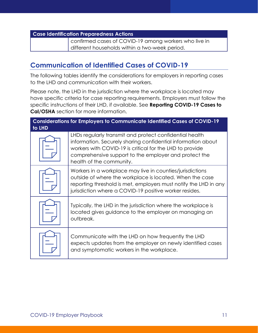confirmed cases of COVID-19 among workers who live in different households within a two-week period.

#### <span id="page-11-0"></span>**Communication of Identified Cases of COVID-19**

The following tables identify the considerations for employers in reporting cases to the LHD and communication with their workers.

Please note, the LHD in the jurisdiction where the workplace is located may have specific criteria for case reporting requirements. Employers must follow the specific instructions of their LHD, if available. See **[Reporting COVID-19 Cases to](#page-20-2)  [Cal/OSHA](#page-20-2)** section for more information.

| <b>Considerations for Employers to Communicate Identified Cases of COVID-19</b><br>to LHD |                                                                                                                                                                                                                                                                          |
|-------------------------------------------------------------------------------------------|--------------------------------------------------------------------------------------------------------------------------------------------------------------------------------------------------------------------------------------------------------------------------|
|                                                                                           | LHDs regularly transmit and protect confidential health<br>information. Securely sharing confidential information about<br>workers with COVID-19 is critical for the LHD to provide<br>comprehensive support to the employer and protect the<br>health of the community. |
|                                                                                           | Workers in a workplace may live in counties/jurisdictions<br>outside of where the workplace is located. When the case<br>reporting threshold is met, employers must notify the LHD in any<br>jurisdiction where a COVID-19 positive worker resides.                      |
|                                                                                           | Typically, the LHD in the jurisdiction where the workplace is<br>located gives guidance to the employer on managing an<br>outbreak.                                                                                                                                      |
|                                                                                           | Communicate with the LHD on how frequently the LHD<br>expects updates from the employer on newly identified cases<br>and symptomatic workers in the workplace.                                                                                                           |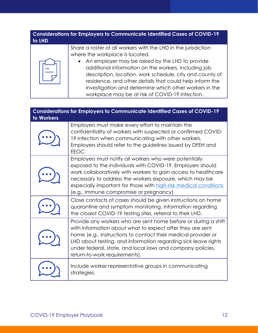#### **Considerations for Employers to Communicate Identified Cases of COVID-19 to LHD**



Share a roster of all workers with the LHD in the jurisdiction where the workplace is located.

• An employer may be asked by the LHD to provide additional information on the workers, including job description, location, work schedule, city and county of residence, and other details that could help inform the investigation and determine which other workers in the workplace may be at risk of COVID-19 infection.

| <b>Considerations for Employers to Communicate Identified Cases of COVID-19</b><br>to Workers |                                                                                                                                                                                                                                                                                                                                                                  |
|-----------------------------------------------------------------------------------------------|------------------------------------------------------------------------------------------------------------------------------------------------------------------------------------------------------------------------------------------------------------------------------------------------------------------------------------------------------------------|
|                                                                                               | Employers must make every effort to maintain the<br>confidentiality of workers with suspected or confirmed COVID-<br>19 infection when communicating with other workers.<br>Employers should refer to the guidelines issued by DFEH and<br>EEOC.                                                                                                                 |
|                                                                                               | Employers must notify all workers who were potentially<br>exposed to the individuals with COVID-19. Employers should<br>work collaboratively with workers to gain access to healthcare<br>necessary to address the workers exposure, which may be<br>especially important for those with high-risk medical conditions<br>(e.g., immune compromise or pregnancy). |
|                                                                                               | Close contacts of cases should be given instructions on home<br>quarantine and symptom monitoring, information regarding<br>the closest COVID-19 testing sites, referral to their LHD.                                                                                                                                                                           |
|                                                                                               | Provide any workers who are sent home before or during a shift<br>with information about what to expect after they are sent<br>home (e.g., instructions to contact their medical provider or<br>LHD about testing, and information regarding sick leave rights<br>under federal, state, and local laws and company policies,<br>return-to-work requirements).    |
|                                                                                               | Include worker representative groups in communicating<br>strategies.                                                                                                                                                                                                                                                                                             |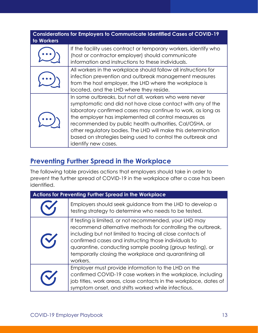| <b>Considerations for Employers to Communicate Identified Cases of COVID-19</b><br>to Workers |                                                                                                                                                                                                                                                                                                                                                                                                                                                             |
|-----------------------------------------------------------------------------------------------|-------------------------------------------------------------------------------------------------------------------------------------------------------------------------------------------------------------------------------------------------------------------------------------------------------------------------------------------------------------------------------------------------------------------------------------------------------------|
|                                                                                               | If the facility uses contract or temporary workers, identify who<br>(host or contractor employer) should communicate<br>information and instructions to these individuals.                                                                                                                                                                                                                                                                                  |
|                                                                                               | All workers in the workplace should follow all instructions for<br>infection prevention and outbreak management measures<br>from the host employer, the LHD where the workplace is<br>located, and the LHD where they reside.                                                                                                                                                                                                                               |
|                                                                                               | In some outbreaks, but not all, workers who were never<br>symptomatic and did not have close contact with any of the<br>laboratory confirmed cases may continue to work, as long as<br>the employer has implemented all control measures as<br>recommended by public health authorities, Cal/OSHA, or<br>other regulatory bodies. The LHD will make this determination<br>based on strategies being used to control the outbreak and<br>identify new cases. |

#### <span id="page-13-0"></span>**Preventing Further Spread in the Workplace**

The following table provides actions that employers should take in order to prevent the further spread of COVID-19 in the workplace after a case has been identified.

| <b>Actions for Preventing Further Spread in the Workplace</b> |                                                                                                                                                                                                                                                                                                                                                                                 |
|---------------------------------------------------------------|---------------------------------------------------------------------------------------------------------------------------------------------------------------------------------------------------------------------------------------------------------------------------------------------------------------------------------------------------------------------------------|
|                                                               | Employers should seek guidance from the LHD to develop a<br>testing strategy to determine who needs to be tested.                                                                                                                                                                                                                                                               |
| $\mathbf{C}$                                                  | If testing is limited, or not recommended, your LHD may<br>recommend alternative methods for controlling the outbreak,<br>including but not limited to tracing all close contacts of<br>confirmed cases and instructing those individuals to<br>quarantine, conducting sample pooling (group testing), or<br>temporarily closing the workplace and quarantining all<br>workers. |
|                                                               | Employer must provide information to the LHD on the<br>confirmed COVID-19 case workers in the workplace, including<br>job titles, work areas, close contacts in the workplace, dates of<br>symptom onset, and shifts worked while infectious.                                                                                                                                   |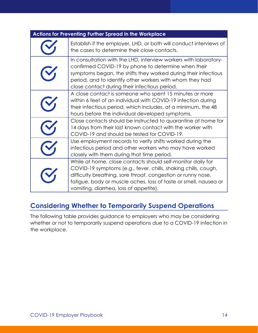| Actions for Preventing Further Spread in the Workplace                                                                                                                                                                                                                                                      |
|-------------------------------------------------------------------------------------------------------------------------------------------------------------------------------------------------------------------------------------------------------------------------------------------------------------|
| Establish if the employer, LHD, or both will conduct interviews of<br>the cases to determine their close contacts.                                                                                                                                                                                          |
| In consultation with the LHD, interview workers with laboratory-<br>confirmed COVID-19 by phone to determine when their<br>symptoms began, the shifts they worked during their infectious<br>period, and to identify other workers with whom they had<br>close contact during their infectious period.      |
| A close contact is someone who spent 15 minutes or more<br>within 6 feet of an individual with COVID-19 infection during<br>their infectious period, which includes, at a minimum, the 48<br>hours before the individual developed symptoms.                                                                |
| Close contacts should be instructed to quarantine at home for<br>14 days from their last known contact with the worker with<br>COVID-19 and should be tested for COVID-19.                                                                                                                                  |
| Use employment records to verify shifts worked during the<br>infectious period and other workers who may have worked<br>closely with them during that time period.                                                                                                                                          |
| While at home, close contacts should self-monitor daily for<br>COVID-19 symptoms (e.g., fever, chills, shaking chills, cough,<br>difficulty breathing, sore throat, congestion or runny nose,<br>fatigue, body or muscle aches, loss of taste or smell, nausea or<br>vomiting, diarrhea, loss of appetite). |

#### <span id="page-14-0"></span>**Considering Whether to Temporarily Suspend Operations**

The following table provides guidance to employers who may be considering whether or not to temporarily suspend operations due to a COVID-19 infection in the workplace.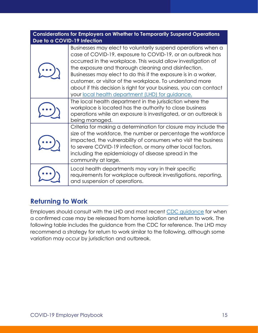| <b>Considerations for Employers on Whether to Temporarily Suspend Operations</b><br>Due to a COVID-19 Infection |                                                                                                                                                                                                                                                                                                                                                                                                                                                                                                               |
|-----------------------------------------------------------------------------------------------------------------|---------------------------------------------------------------------------------------------------------------------------------------------------------------------------------------------------------------------------------------------------------------------------------------------------------------------------------------------------------------------------------------------------------------------------------------------------------------------------------------------------------------|
|                                                                                                                 | Businesses may elect to voluntarily suspend operations when a<br>case of COVID-19, exposure to COVID-19, or an outbreak has<br>occurred in the workplace. This would allow investigation of<br>the exposure and thorough cleaning and disinfection.<br>Businesses may elect to do this if the exposure is in a worker,<br>customer, or visitor of the workplace. To understand more<br>about if this decision is right for your business, you can contact<br>your local health department (LHD) for guidance. |
|                                                                                                                 | The local health department in the jurisdiction where the<br>workplace is located has the authority to close business<br>operations while an exposure is investigated, or an outbreak is<br>being managed.                                                                                                                                                                                                                                                                                                    |
|                                                                                                                 | Criteria for making a determination for closure may include the<br>size of the workforce, the number or percentage the workforce<br>impacted, the vulnerability of consumers who visit the business<br>to severe COVID-19 infection, or many other local factors,<br>including the epidemiology of disease spread in the<br>community at large.                                                                                                                                                               |
|                                                                                                                 | Local health departments may vary in their specific<br>requirements for workplace outbreak investigations, reporting,<br>and suspension of operations.                                                                                                                                                                                                                                                                                                                                                        |

#### <span id="page-15-0"></span>**Returning to Work**

Employers should consult with the LHD and most recent [CDC guidance](https://www.cdc.gov/coronavirus/2019-ncov/if-you-are-sick/steps-when-sick.html) for when a confirmed case may be released from home isolation and return to work. The following table includes the guidance from the CDC for reference. The LHD may recommend a strategy for return to work similar to the following, although some variation may occur by jurisdiction and outbreak.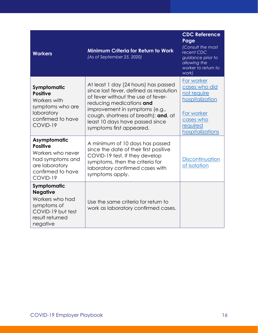| <b>Workers</b>                                                                                                              | <b>Minimum Criteria for Return to Work</b><br>(As of September 25, 2020)                                                                                                                                                                                                                   | <b>CDC Reference</b><br>Page<br>(Consult the most<br>recent CDC<br>guidance prior to<br>allowing the<br>worker to return to<br>work) |
|-----------------------------------------------------------------------------------------------------------------------------|--------------------------------------------------------------------------------------------------------------------------------------------------------------------------------------------------------------------------------------------------------------------------------------------|--------------------------------------------------------------------------------------------------------------------------------------|
| Symptomatic<br><b>Positive</b><br>Workers with<br>symptoms who are<br>laboratory<br>confirmed to have<br>COVID-19           | At least 1 day (24 hours) has passed<br>since last fever, defined as resolution<br>of fever without the use of fever-<br>reducing medications and<br>improvement in symptoms (e.g.,<br>cough, shortness of breath); and, at<br>least 10 days have passed since<br>symptoms first appeared. | For worker<br>cases who did<br>not require<br>hospitalization<br>For worker<br>cases who<br>required<br>hospitalizations             |
| Asymptomatic<br><b>Positive</b><br>Workers who never<br>had symptoms and<br>are laboratory<br>confirmed to have<br>COVID-19 | A minimum of 10 days has passed<br>since the date of their first positive<br>COVID-19 test. If they develop<br>symptoms, then the criteria for<br>laboratory confirmed cases with<br>symptoms apply.                                                                                       | Discontinuation<br>of Isolation                                                                                                      |
| Symptomatic<br><b>Negative</b><br>Workers who had<br>symptoms of<br>COVID-19 but test<br>result returned<br>negative        | Use the same criteria for return to<br>work as laboratory confirmed cases.                                                                                                                                                                                                                 |                                                                                                                                      |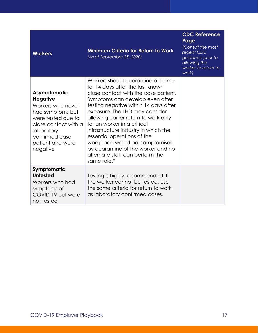| <b>Workers</b>                                                                                                                                                                          | <b>Minimum Criteria for Return to Work</b><br>(As of September 25, 2020)                                                                                                                                                                                                                                                                                                                                                                                                                            | <b>CDC Reference</b><br>Page<br>(Consult the most<br>recent CDC<br>guidance prior to<br>allowing the<br>worker to return to<br>work) |
|-----------------------------------------------------------------------------------------------------------------------------------------------------------------------------------------|-----------------------------------------------------------------------------------------------------------------------------------------------------------------------------------------------------------------------------------------------------------------------------------------------------------------------------------------------------------------------------------------------------------------------------------------------------------------------------------------------------|--------------------------------------------------------------------------------------------------------------------------------------|
| Asymptomatic<br><b>Negative</b><br>Workers who never<br>had symptoms but<br>were tested due to<br>close contact with a<br>laboratory-<br>confirmed case<br>patient and were<br>negative | Workers should quarantine at home<br>for 14 days after the last known<br>close contact with the case patient.<br>Symptoms can develop even after<br>testing negative within 14 days after<br>exposure. The LHD may consider<br>allowing earlier return to work only<br>for an worker in a critical<br>infrastructure industry in which the<br>essential operations of the<br>workplace would be compromised<br>by quarantine of the worker and no<br>alternate staff can perform the<br>same role.* |                                                                                                                                      |
| Symptomatic<br><b>Untested</b><br>Workers who had<br>symptoms of<br>COVID-19 but were<br>not tested                                                                                     | Testing is highly recommended. If<br>the worker cannot be tested, use<br>the same criteria for return to work<br>as laboratory confirmed cases.                                                                                                                                                                                                                                                                                                                                                     |                                                                                                                                      |

**CONCRETE**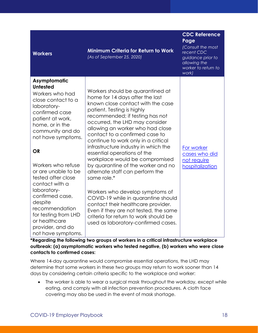| <b>Workers</b>                                                                                                                                                                                                                                                                                                                                                                                                                                 | <b>Minimum Criteria for Return to Work</b><br>(As of September 25, 2020)                                                                                                                                                                                                                                                                                                                                                                                                                                                                                                                                                                                                                                                                                           | <b>CDC Reference</b><br>Page<br>(Consult the most<br>recent CDC<br>guidance prior to<br>allowing the<br>worker to return to<br>work) |
|------------------------------------------------------------------------------------------------------------------------------------------------------------------------------------------------------------------------------------------------------------------------------------------------------------------------------------------------------------------------------------------------------------------------------------------------|--------------------------------------------------------------------------------------------------------------------------------------------------------------------------------------------------------------------------------------------------------------------------------------------------------------------------------------------------------------------------------------------------------------------------------------------------------------------------------------------------------------------------------------------------------------------------------------------------------------------------------------------------------------------------------------------------------------------------------------------------------------------|--------------------------------------------------------------------------------------------------------------------------------------|
| Asymptomatic<br><b>Untested</b><br>Workers who had<br>close contact to a<br>laboratory-<br>confirmed case<br>patient at work,<br>home, or in the<br>community and do<br>not have symptoms.<br><b>OR</b><br>Workers who refuse<br>or are unable to be<br>tested after close<br>contact with a<br>laboratory-<br>confirmed case,<br>despite<br>recommendation<br>for testing from LHD<br>or healthcare<br>provider, and do<br>not have symptoms. | Workers should be quarantined at<br>home for 14 days after the last<br>known close contact with the case<br>patient. Testing is highly<br>recommended; if testing has not<br>occurred, the LHD may consider<br>allowing an worker who had close<br>contact to a confirmed case to<br>continue to work only in a critical<br>infrastructure industry in which the<br>essential operations of the<br>workplace would be compromised<br>by quarantine of the worker and no<br>alternate staff can perform the<br>same role.*<br>Workers who develop symptoms of<br>COVID-19 while in quarantine should<br>contact their healthcare provider.<br>Even if they are not tested, the same<br>criteria for return to work should be<br>used as laboratory-confirmed cases. | For worker<br>cases who did<br>not require<br>hospitalization                                                                        |

**\*Regarding the following two groups of workers in a critical infrastructure workplace outbreak: (a) asymptomatic workers who tested negative, (b) workers who were close contacts to confirmed cases:**

Where 14-day quarantine would compromise essential operations, the LHD may determine that some workers in these two groups may return to work sooner than 14 days by considering certain criteria specific to the workplace and worker:

• The worker is able to wear a surgical mask throughout the workday, except while eating, and comply with all infection prevention procedures. A cloth face covering may also be used in the event of mask shortage.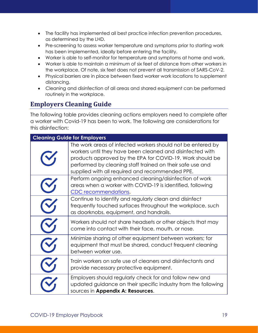- The facility has implemented all best practice infection prevention procedures, as determined by the LHD.
- Pre-screening to assess worker temperature and symptoms prior to starting work has been implemented, ideally before entering the facility.
- Worker is able to self-monitor for temperature and symptoms at home and work.
- Worker is able to maintain a minimum of six feet of distance from other workers in the workplace. Of note, six feet does not prevent all transmission of SARS-CoV-2.
- Physical barriers are in place between fixed worker work locations to supplement distancing.
- Cleaning and disinfection of all areas and shared equipment can be performed routinely in the workplace.

#### <span id="page-19-0"></span>**Employers Cleaning Guide**

The following table provides cleaning actions employers need to complete after a worker with Covid-19 has been to work. The following are considerations for this disinfection:

| <b>Cleaning Guide for Employers</b>                                                                                                                                                                                                                                                                   |
|-------------------------------------------------------------------------------------------------------------------------------------------------------------------------------------------------------------------------------------------------------------------------------------------------------|
| The work areas of infected workers should not be entered by<br>workers until they have been cleaned and disinfected with<br>products approved by the EPA for COVID-19. Work should be<br>performed by cleaning staff trained on their safe use and<br>supplied with all required and recommended PPE. |
| Perform ongoing enhanced cleaning/disinfection of work<br>areas when a worker with COVID-19 is identified, following<br>CDC recommendations.                                                                                                                                                          |
| Continue to identify and regularly clean and disinfect<br>frequently touched surfaces throughout the workplace, such<br>as doorknobs, equipment, and handrails.                                                                                                                                       |
| Workers should not share headsets or other objects that may<br>come into contact with their face, mouth, or nose.                                                                                                                                                                                     |
| Minimize sharing of other equipment between workers; for<br>equipment that must be shared, conduct frequent cleaning<br>between worker use.                                                                                                                                                           |
| Train workers on safe use of cleaners and disinfectants and<br>provide necessary protective equipment.                                                                                                                                                                                                |
| Employers should regularly check for and follow new and<br>updated guidance on their specific industry from the following<br>sources in Appendix A: Resources.                                                                                                                                        |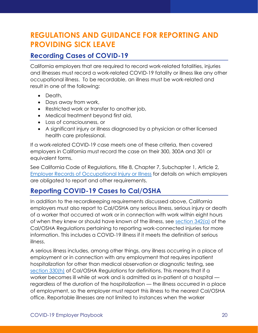### <span id="page-20-0"></span>**REGULATIONS AND GUIDANCE FOR REPORTING AND PROVIDING SICK LEAVE**

#### <span id="page-20-1"></span>**Recording Cases of COVID-19**

California employers that are required to record work-related fatalities, injuries and illnesses must record a work-related COVID-19 fatality or illness like any other occupational illness. To be recordable, an illness must be work-related and result in one of the following:

- Death,
- Days away from work,
- Restricted work or transfer to another job,
- Medical treatment beyond first aid,
- Loss of consciousness, or
- A significant injury or illness diagnosed by a physician or other licensed health care professional.

If a work-related COVID-19 case meets one of these criteria, then covered employers in California must record the case on their 300, 300A and 301 or equivalent forms.

See California Code of Regulations, title 8, Chapter 7, Subchapter 1, Article 2, [Employer Records of Occupational Injury or Illness](https://www.dir.ca.gov/T8/ch7sb1a2.html) for details on which employers are obligated to report and other requirements.

#### <span id="page-20-2"></span>**Reporting COVID-19 Cases to Cal/OSHA**

In addition to the recordkeeping requirements discussed above, California employers must also report to Cal/OSHA any serious illness, serious injury or death of a worker that occurred at work or in connection with work within eight hours of when they knew or should have known of the illness, see [section 342\(a\)](https://www.dir.ca.gov/title8/342.html) of the Cal/OSHA Regulations pertaining to reporting work-connected injuries for more information. This includes a COVID-19 illness if it meets the definition of serious illness.

A serious illness includes, among other things, any illness occurring in a place of employment or in connection with any employment that requires inpatient hospitalization for other than medical observation or diagnostic testing, see [section 330\(h\)](https://www.dir.ca.gov/title8/330.html) of Cal/OSHA Regulations for definitions. This means that if a worker becomes ill while at work and is admitted as in-patient at a hospital regardless of the duration of the hospitalization — the illness occurred in a place of employment, so the employer must report this illness to the nearest Cal/OSHA office. Reportable illnesses are not limited to instances when the worker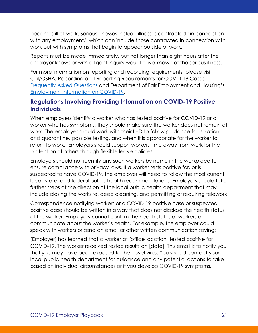becomes ill at work. Serious illnesses include illnesses contracted "in connection with any employment," which can include those contracted in connection with work but with symptoms that begin to appear outside of work.

Reports must be made immediately, but not longer than eight hours after the employer knows or with diligent inquiry would have known of the serious illness.

For more information on reporting and recording requirements, please visit Cal/OSHA, Recording and Reporting Requirements for COVID-19 Cases [Frequently Asked Questions](https://www.dir.ca.gov/dosh/coronavirus/Reporting-Requirements-COVID-19.html) and Department of Fair Employment and Housing's [Employment Information on COVID-19.](https://www.dfeh.ca.gov/wp-content/uploads/sites/32/2020/03/DFEH-Employment-Information-on-COVID-19-FAQ_ENG.pdf)

#### **Regulations Involving Providing Information on COVID-19 Positive Individuals**

When employers identify a worker who has tested positive for COVID-19 or a worker who has symptoms, they should make sure the worker does not remain at work. The employer should work with their LHD to follow guidance for isolation and quarantine, possible testing, and when it is appropriate for the worker to return to work. Employers should support workers time away from work for the protection of others through flexible leave policies.

Employers should not identify any such workers by name in the workplace to ensure compliance with privacy laws. If a worker tests positive for, or is suspected to have COVID-19, the employer will need to follow the most current local, state, and federal public health recommendations. Employers should take further steps at the direction of the local public health department that may include closing the worksite, deep cleaning, and permitting or requiring telework

Correspondence notifying workers or a COVID-19 positive case or suspected positive case should be written in a way that does not disclose the health status of the worker. Employers **cannot** confirm the health status of workers or communicate about the worker's health. For example, the employer could speak with workers or send an email or other written communication saying:

[Employer] has learned that a worker at [office location] tested positive for COVID-19. The worker received tested results on [date]. This email is to notify you that you may have been exposed to the novel virus. You should contact your local public health department for guidance and any potential actions to take based on individual circumstances or if you develop COVID-19 symptoms.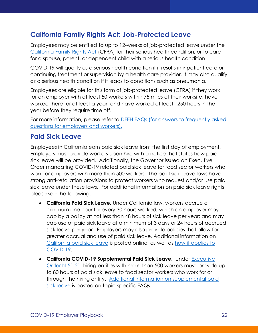#### <span id="page-22-0"></span>**California Family Rights Act: Job-Protected Leave**

Employees may be entitled to up to 12-weeks of job-protected leave under the [California Family Rights Act](https://www.dfeh.ca.gov/wp-content/uploads/sites/32/2019/08/DFEH_CFRA_Pamphlet.pdf) (CFRA) for their serious health condition, or to care for a spouse, parent, or dependent child with a serious health condition.

COVID-19 will qualify as a serious health condition if it results in inpatient care or continuing treatment or supervision by a health care provider. It may also qualify as a serious health condition if it leads to conditions such as pneumonia.

Employees are eligible for this form of job-protected leave (CFRA) if they work for an employer with at least 50 workers within 75 miles of their worksite; have worked there for at least a year; and have worked at least 1250 hours in the year before they require time off.

For more information, please refer to [DFEH](https://www.dfeh.ca.gov/wp-content/uploads/sites/32/2020/03/DFEH-Employment-Information-on-COVID-19-FAQ_ENG.pdf) FAQs (for answers to frequently asked questions for employers and workers).

#### <span id="page-22-1"></span>**Paid Sick Leave**

Employees in California earn paid sick leave from the first day of employment. Employers must provide workers upon hire with a notice that states how paid sick leave will be provided. Additionally, the Governor issued an Executive Order mandating COVID-19 related paid sick leave for food sector workers who work for employers with more than 500 workers. The paid sick leave laws have strong anti-retaliation provisions to protect workers who request and/or use paid sick leave under these laws. For additional information on paid sick leave rights, please see the following:

- **California Paid Sick Leave.** Under California law, workers accrue a minimum one hour for every 30 hours worked, which an employer may cap by a policy at not less than 48 hours of sick leave per year; and may cap use of paid sick leave at a minimum of 3 days or 24 hours of accrued sick leave per year. Employers may also provide policies that allow for greater accrual and use of paid sick leave. Additional information on [California paid sick leave](https://www.dir.ca.gov/dlse/paid_sick_leave.htm) is posted online, as well as [how it applies to](https://www.dir.ca.gov/dlse/2019-Novel-Coronavirus.htm)  [COVID-19.](https://www.dir.ca.gov/dlse/2019-Novel-Coronavirus.htm)
- **California COVID-19 Supplemental Paid Sick Leave**. Under [Executive](https://www.gov.ca.gov/wp-content/uploads/2020/04/4.16.20-EO-N-51-20.pdf)  [Order N-51-20,](https://www.gov.ca.gov/wp-content/uploads/2020/04/4.16.20-EO-N-51-20.pdf) hiring entities with more than 500 workers must provide up to 80 hours of paid sick leave to food sector workers who work for or through the hiring entity. [Additional information on supplemental paid](https://www.dir.ca.gov/dlse/FAQ-for-PSL.html)  [sick leave](https://www.dir.ca.gov/dlse/FAQ-for-PSL.html) is posted on topic-specific FAQs.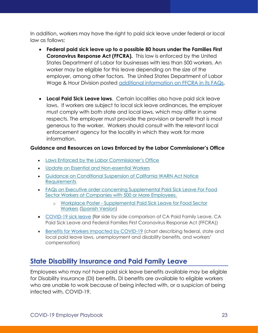In addition, workers may have the right to paid sick leave under federal or local law as follows:

- **Federal paid sick leave up to a possible 80 hours under the Families First Coronavirus Response Act (FFCRA).** This law is enforced by the United States Department of Labor for businesses with less than 500 workers. An worker may be eligible for this leave depending on the size of the employer, among other factors. The United States Department of Labor Wage & Hour Division posted [additional information on FFCRA in its FAQs.](https://www.dol.gov/agencies/whd/pandemic/ffcra-questions)
- **Local Paid Sick Leave laws**. Certain localities also have paid sick leave laws. If workers are subject to local sick leave ordinances, the employer must comply with both state and local laws, which may differ in some respects. The employer must provide the provision or benefit that is most generous to the worker. Workers should consult with the relevant local enforcement agency for the locality in which they work for more information.

#### **Guidance and Resources on Laws Enforced by the Labor Commissioner's Office**

- [Laws Enforced by the Labor Commissioner's Office](https://www.dir.ca.gov/dlse/2019-Novel-Coronavirus.htm)
- [Update on Essential and Non-essential Workers](https://www.dir.ca.gov/dlse/Essential-and-Non-essential-Workers.htm)
- [Guidance on Conditional Suspension of California WARN Act Notice](https://www.dir.ca.gov/dlse/WARN-FAQs.html)  **[Requirements](https://www.dir.ca.gov/dlse/WARN-FAQs.html)**
- [FAQs on Executive order concerning Supplemental Paid Sick Leave For Food](https://www.dir.ca.gov/dlse/FAQ-for-PSL.html)  [Sector Workers at Companies with 500 or More Employees.](https://www.dir.ca.gov/dlse/FAQ-for-PSL.html)
	- o Workplace Poster [Supplemental Paid Sick Leave for Food Sector](https://www.dir.ca.gov/dlse/COVID-19-Food-Sector-Workers-poster.pdf)  [Workers](https://www.dir.ca.gov/dlse/COVID-19-Food-Sector-Workers-poster.pdf) [\(Spanish Version\)](https://www.dir.ca.gov/dlse/Spanish-COVID-19-Food-Sector-Workers-poster.pdf)
- [COVID-19 sick leave](https://www.dir.ca.gov/dlse/Comparison-COVID-19-Paid-Leave.html) (for side by side comparison of CA Paid Family Leave, CA Paid Sick Leave and Federal Families First Coronavirus Response Act (FFCRA))
- [Benefits for Workers Impacted by COVID-19](https://www.labor.ca.gov/coronavirus2019/#chart) (chart describing federal, state and local paid leave laws, unemployment and disability benefits, and workers' compensation)

#### <span id="page-23-0"></span>**State Disability Insurance and Paid Family Leave**

Employees who may not have paid sick leave benefits available may be eligible for Disability Insurance (DI) benefits. DI benefits are available to eligible workers who are unable to work because of being infected with, or a suspicion of being infected with, COVID-19.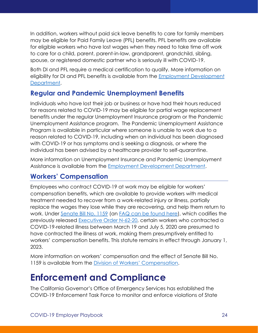In addition, workers without paid sick leave benefits to care for family members may be eligible for Paid Family Leave (PFL) benefits. PFL benefits are available for eligible workers who have lost wages when they need to take time off work to care for a child, parent, parent-in-law, grandparent, grandchild, sibling, spouse, or registered domestic partner who is seriously ill with COVID-19.

Both DI and PFL require a medical certification to qualify. More information on eligibility for DI and PFL benefits is available from the [Employment Development](https://www.edd.ca.gov/about_edd/coronavirus-2019/faqs/disability-paid-family-leave.htm)  [Department.](https://www.edd.ca.gov/about_edd/coronavirus-2019/faqs/disability-paid-family-leave.htm)

#### **Regular and Pandemic Unemployment Benefits**

Individuals who have lost their job or business or have had their hours reduced for reasons related to COVID-19 may be eligible for partial wage replacement benefits under the regular Unemployment Insurance program or the Pandemic Unemployment Assistance program. The Pandemic Unemployment Assistance Program is available in particular where someone is unable to work due to a reason related to COVID-19, including when an individual has been diagnosed with COVID-19 or has symptoms and is seeking a diagnosis, or where the individual has been advised by a healthcare provider to self-quarantine.

More information on Unemployment Insurance and Pandemic Unemployment Assistance is available from the [Employment Development Department.](https://unemployment.edd.ca.gov/guide/benefits)

#### <span id="page-24-0"></span>**Workers' Compensation**

Employees who contract COVID-19 at work may be eligible for workers' compensation benefits, which are available to provide workers with medical treatment needed to recover from a work-related injury or illness, partially replace the wages they lose while they are recovering, and help them return to work. Under [Senate Bill No. 1159](https://leginfo.legislature.ca.gov/faces/billTextClient.xhtml?bill_id=201920200SB1159) (an [FAQ can be found here\)](https://www.dir.ca.gov/dwc/Covid-19/FAQ-SB-1159.html), which codifies the previously released [Executive Order N-62-20,](https://www.gov.ca.gov/wp-content/uploads/2020/05/5.6.20-EO-N-62-20-text.pdf) certain workers who contracted a COVID-19-related illness between March 19 and July 5, 2020 are presumed to have contracted the illness at work, making them presumptively entitled to workers' compensation benefits. This statute remains in effect through January 1, 2023.

More information on workers' compensation and the effect of Senate Bill No. 1159 is available from the [Division of Workers' Compensation](https://www.dir.ca.gov/dwc/Covid-19/).

### <span id="page-24-1"></span>**Enforcement and Compliance**

The California Governor's Office of Emergency Services has established the COVID-19 Enforcement Task Force to monitor and enforce violations of State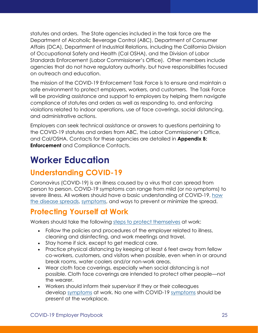statutes and orders. The State agencies included in the task force are the Department of Alcoholic Beverage Control (ABC), Department of Consumer Affairs (DCA), Department of Industrial Relations, including the California Division of Occupational Safety and Health (Cal OSHA), and the Division of Labor Standards Enforcement (Labor Commissioner's Office). Other members include agencies that do not have regulatory authority, but have responsibilities focused on outreach and education.

The mission of the COVID-19 Enforcement Task Force is to ensure and maintain a safe environment to protect employers, workers, and customers. The Task Force will be providing assistance and support to employers by helping them navigate compliance of statutes and orders as well as responding to, and enforcing violations related to indoor operations, use of face coverings, social distancing, and administrative actions.

Employers can seek technical assistance or answers to questions pertaining to the COVID-19 statutes and orders from ABC, the Labor Commissioner's Office, and Cal/OSHA. Contacts for these agencies are detailed in **[Appendix](#page-31-0) B: Enforcement** [and Compliance Contacts.](#page-31-0)

# <span id="page-25-0"></span>**Worker Education**

### <span id="page-25-1"></span>**Understanding COVID-19**

Coronavirus (COVID-19) is an illness caused by a virus that can spread from person to person. COVID-19 symptoms can range from mild (or no symptoms) to severe illness. All workers should have a basic understanding of COVID-19, [how](https://www.cdc.gov/coronavirus/2019-ncov/prevent-getting-sick/how-covid-spreads.html)  [the disease spreads,](https://www.cdc.gov/coronavirus/2019-ncov/prevent-getting-sick/how-covid-spreads.html) [symptoms,](https://www.cdc.gov/coronavirus/2019-ncov/symptoms-testing/symptoms.html) and ways to prevent or minimize the spread.

### <span id="page-25-2"></span>**Protecting Yourself at Work**

Workers should take the following [steps to protect themselves](https://www.cdc.gov/coronavirus/2019-ncov/about/prevention.html?CDC_AA_refVal=https%3A%2F%2Fwww.cdc.gov%2Fcoronavirus%2F2019-ncov%2Fabout%2Fprevention-treatment.html) at work:

- Follow the policies and procedures of the employer related to illness, cleaning and disinfecting, and work meetings and travel.
- Stay home if sick, except to get medical care.
- Practice physical distancing by keeping at least 6 feet away from fellow co-workers, customers, and visitors when possible, even when in or around break rooms, water coolers and/or non-work areas.
- Wear cloth face coverings, especially when social distancing is not possible. Cloth face coverings are intended to protect other people—not the wearer.
- Workers should inform their supervisor if they or their colleagues develop [symptoms](https://www.cdc.gov/coronavirus/2019-ncov/symptoms-testing/symptoms.html) at work. No one with COVID-19 [symptoms](https://www.cdc.gov/coronavirus/2019-ncov/about/symptoms.html) should be present at the workplace.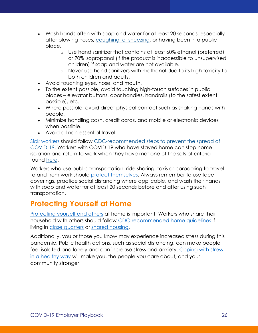- Wash hands often with soap and water for at least 20 seconds, especially after blowing noses, [coughing, or sneezing,](https://www.cdc.gov/healthywater/hygiene/etiquette/coughing_sneezing.html) or having been in a public place.
	- o Use hand sanitizer that contains at least 60% ethanol (preferred) or 70% isopropanol (if the product is inaccessible to unsupervised children) if soap and water are not available.
	- o Never use hand sanitizers with methanol due to its high toxicity to both children and adults.
- Avoid touching eyes, nose, and mouth.
- To the extent possible, avoid touching high-touch surfaces in public places – elevator buttons, door handles, handrails (to the safest extent possible), etc.
- Where possible, avoid direct physical contact such as shaking hands with people.
- Minimize handling cash, credit cards, and mobile or electronic devices when possible.
- Avoid all non-essential travel.

[Sick workers](https://www.cdc.gov/coronavirus/2019-ncov/about/steps-when-sick.html) should follow [CDC-recommended steps to prevent the spread of](https://www.cdc.gov/coronavirus/2019-ncov/downloads/sick-with-2019-nCoV-fact-sheet.pdf)  [COVID-19.](https://www.cdc.gov/coronavirus/2019-ncov/downloads/sick-with-2019-nCoV-fact-sheet.pdf) Workers with COVID-19 who have stayed home can stop home isolation and return to work when they have met one of the sets of criteria found [here.](https://www.cdc.gov/coronavirus/2019-ncov/hcp/disposition-in-home-patients.html)

Workers who use public transportation, ride sharing, taxis or carpooling to travel to and from work should [protect themselves.](https://www.cdc.gov/coronavirus/2019-ncov/daily-life-coping/using-transportation.html) Always remember to use face coverings, practice social distancing where applicable, and wash their hands with soap and water for at least 20 seconds before and after using such transportation.

### <span id="page-26-0"></span>**Protecting Yourself at Home**

[Protecting yourself](https://www.cdc.gov/coronavirus/2019-ncov/downloads/2019-ncov-factsheet.pdf) and others at home is important. Workers who share their household with others should follow [CDC-recommended home guidelines](https://www.cdc.gov/coronavirus/2019-ncov/daily-life-coping/at-home.html) if living in [close quarters](https://www.cdc.gov/coronavirus/2019-ncov/daily-life-coping/living-in-close-quarters.html) or [shared housing.](https://www.cdc.gov/coronavirus/2019-ncov/daily-life-coping/shared-housing/index.html)

Additionally, you or those you know may experience increased stress during this pandemic. Public health actions, such as social distancing, can make people feel isolated and lonely and can increase stress and anxiety. [Coping with stress](https://www.cdc.gov/coronavirus/2019-ncov/daily-life-coping/managing-stress-anxiety.html)  in a [healthy way](https://www.cdc.gov/coronavirus/2019-ncov/daily-life-coping/managing-stress-anxiety.html) will make you, the people you care about, and your community stronger.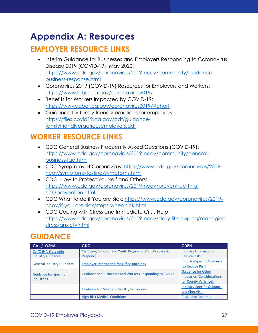# <span id="page-27-0"></span>**Appendix A: Resources**

### <span id="page-27-1"></span>**EMPLOYER RESOURCE LINKS**

- Interim Guidance for Businesses and Employers Responding to Coronavirus Disease 2019 (COVID-19), May 2020: [https://www.cdc.gov/coronavirus/2019-ncov/community/guidance](https://www.cdc.gov/coronavirus/2019-ncov/community/guidance-business-response.html)[business-response.html](https://www.cdc.gov/coronavirus/2019-ncov/community/guidance-business-response.html)
- Coronavirus 2019 (COVID-19) Resources for Employers and Workers: <https://www.labor.ca.gov/coronavirus2019/>
- Benefits for Workers Impacted by COVID-19: <https://www.labor.ca.gov/coronavirus2019/#chart>
- Guidance for family friendly practices for employers: [https://files.covid19.ca.gov/pdf/guidance](https://files.covid19.ca.gov/pdf/guidance-familyfriendlypracticesemployers.pdf)[familyfriendlypracticesemployers.pdf](https://files.covid19.ca.gov/pdf/guidance-familyfriendlypracticesemployers.pdf)

### <span id="page-27-2"></span>**WORKER RESOURCE LINKS**

- CDC General Business Frequently Asked Questions (COVID-19): [https://www.cdc.gov/coronavirus/2019-ncov/community/general](https://www.cdc.gov/coronavirus/2019-ncov/community/general-business-faq.html)[business-faq.html](https://www.cdc.gov/coronavirus/2019-ncov/community/general-business-faq.html)
- CDC Symptoms of Coronavirus: [https://www.cdc.gov/coronavirus/2019](https://www.cdc.gov/coronavirus/2019-ncov/symptoms-testing/symptoms.html) [ncov/symptoms-testing/symptoms.html](https://www.cdc.gov/coronavirus/2019-ncov/symptoms-testing/symptoms.html)
- CDC How to Protect Yourself and Others: [https://www.cdc.gov/coronavirus/2019-ncov/prevent-getting](https://www.cdc.gov/coronavirus/2019-ncov/prevent-getting-sick/prevention.html)[sick/prevention.html](https://www.cdc.gov/coronavirus/2019-ncov/prevent-getting-sick/prevention.html)
- CDC What to do if You are Sick: [https://www.cdc.gov/coronavirus/2019](https://www.cdc.gov/coronavirus/2019-ncov/if-you-are-sick/steps-when-sick.html) [ncov/if-you-are-sick/steps-when-sick.html](https://www.cdc.gov/coronavirus/2019-ncov/if-you-are-sick/steps-when-sick.html)
- CDC Coping with Stress and Immediate Crisis Help: [https://www.cdc.gov/coronavirus/2019-ncov/daily-life-coping/managing](https://www.cdc.gov/coronavirus/2019-ncov/daily-life-coping/managing-stress-anxiety.html)[stress-anxiety.html](https://www.cdc.gov/coronavirus/2019-ncov/daily-life-coping/managing-stress-anxiety.html)

### <span id="page-27-3"></span>**GUIDANCE**

| CAL / OSHA                                        | CDC.                                                            | <b>CDPH</b>                       |
|---------------------------------------------------|-----------------------------------------------------------------|-----------------------------------|
| Cal/OSHA Statewide                                | Childcare, Schools, and Youth Programs (Plan, Prepare &         | <b>Industry Guidance to</b>       |
| <b>Industry Guidance</b>                          | Respond)                                                        | <b>Reduce Risk</b>                |
| <b>General Industry Guidance</b>                  | <b>Employer Information for Office Buildings</b>                | <b>Industry-Specific Guidance</b> |
|                                                   |                                                                 | (to Reduce Risk)                  |
|                                                   | <b>Guidance for Businesses and Workers Responding to COVID-</b> | <b>Guidance for Other</b>         |
| <b>Guidance for Specific</b><br><b>Industries</b> | <u>19</u>                                                       | <b>Industries (Considerations</b> |
|                                                   |                                                                 | for County Variance)              |
|                                                   | <b>Guidance for Meat and Poultry Processors</b>                 | <b>Industry-Specific Guidance</b> |
|                                                   |                                                                 | and Checklists                    |
|                                                   | <b>High-Risk Medical Conditions</b>                             | <b>Resilience Roadmap</b>         |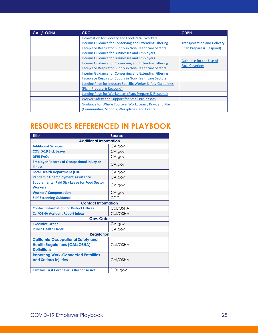| CAL / OSHA | CDC.                                                        | <b>CDPH</b>                        |
|------------|-------------------------------------------------------------|------------------------------------|
|            | <b>Information for Grocery and Food Retail Workers</b>      |                                    |
|            | Interim Guidance for Conserving and Extending Filtering     | <b>Transportation and Delivery</b> |
|            | Facepiece Respirator Supply in Non-Healthcare Sectors       | (Plan Prepare & Respond)           |
|            | <b>Interim Guidance for Businesses and Employers</b>        |                                    |
|            | <b>Interim Guidance for Businesses and Employers</b>        |                                    |
|            | Interim Guidance for Conserving and Extending Filtering     | Guidance for the Use of            |
|            | Facepiece Respirator Supply in Non-Healthcare Sectors       | <b>Face Coverings</b>              |
|            | Interim Guidance for Conserving and Extending Filtering     |                                    |
|            | Facepiece Respirator Supply in Non-Healthcare Sectors       |                                    |
|            | Landing Page for Industry Specific Worker Safety Guidelines |                                    |
|            | (Plan, Prepare & Respond)                                   |                                    |
|            | Landing Page for Workplaces (Plan, Prepare & Respond)       |                                    |
|            | Worker Safety and Support for Small Businesses              |                                    |
|            | Guidance for Where You Live, Work, Learn, Pray, and Play    |                                    |
|            | (Communities, Schools, Workplaces, and Events)              |                                    |

### <span id="page-28-0"></span>**RESOURCES REFERENCED IN PLAYBOOK**

| <b>Title</b>                                                                                              | Source   |  |
|-----------------------------------------------------------------------------------------------------------|----------|--|
| <b>Additional Information</b>                                                                             |          |  |
| <b>Additional Services</b>                                                                                | CA.gov   |  |
| <b>COVID-19 Sick Leave</b>                                                                                | CA.gov   |  |
| <b>DFHI FAQs</b>                                                                                          | CA.gov   |  |
| <b>Employer Records of Occupational Injury or</b><br><b>Illness</b>                                       | CA.gov   |  |
| <b>Local Health Department (LHD)</b>                                                                      | CA.gov   |  |
| <b>Pandemic Unemployment Assistance</b>                                                                   | CA.gov   |  |
| <b>Supplemental Paid Sick Leave for Food Sector</b><br><b>Workers</b>                                     | CA.gov   |  |
| <b>Workers' Compensation</b>                                                                              | CA.gov   |  |
| <b>Self-Screening Guidance</b>                                                                            | CDC      |  |
| <b>Contact Information</b>                                                                                |          |  |
| <b>Contact Information for District Offices</b>                                                           | Cal/OSHA |  |
| <b>Cal/OSHA Accident Report inbox</b>                                                                     | Cal/OSHA |  |
| Gov. Order                                                                                                |          |  |
| <b>Executive Order</b>                                                                                    | CA.gov   |  |
| <b>Public Health Order</b>                                                                                | CA.gov   |  |
| <b>Regulation</b>                                                                                         |          |  |
| <b>California Occupational Safety and</b><br><b>Health Regulations (CAL/OSHA) -</b><br><b>Definitions</b> | Cal/OSHA |  |
| <b>Reporting Work-Connected Fatalities</b><br>and Serious Injuries                                        | Cal/OSHA |  |
| <b>Families First Coronavirus Response Act</b>                                                            | DOL.gov  |  |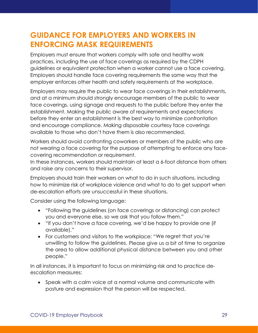### <span id="page-29-0"></span>**GUIDANCE FOR EMPLOYERS AND WORKERS IN ENFORCING MASK REQUIREMENTS**

Employers must ensure that workers comply with safe and healthy work practices, including the use of face coverings as required by the CDPH guidelines or equivalent protection when a worker cannot use a face covering. Employers should handle face covering requirements the same way that the employer enforces other health and safety requirements at the workplace.

Employers may require the public to wear face coverings in their establishments, and at a minimum should strongly encourage members of the public to wear face coverings, using signage and requests to the public before they enter the establishment. Making the public aware of requirements and expectations before they enter an establishment is the best way to minimize confrontation and encourage compliance. Making disposable courtesy face coverings available to those who don't have them is also recommended.

Workers should avoid confronting coworkers or members of the public who are not wearing a face covering for the purpose of attempting to enforce any facecovering recommendation or requirement.

In these instances, workers should maintain at least a 6-foot distance from others and raise any concerns to their supervisor.

Employers should train their workers on what to do in such situations, including how to minimize risk of workplace violence and what to do to get support when de-escalation efforts are unsuccessful in these situations.

Consider using the following language:

- "Following the guidelines (on face coverings or distancing) can protect you and everyone else, so we ask that you follow them."
- "If you don't have a face covering, we'd be happy to provide one (if available)."
- For customers and visitors to the workplace: "We regret that you're unwilling to follow the guidelines. Please give us a bit of time to organize the area to allow additional physical distance between you and other people."

In all instances, it is important to focus on minimizing risk and to practice deescalation measures:

• Speak with a calm voice at a normal volume and communicate with posture and expression that the person will be respected.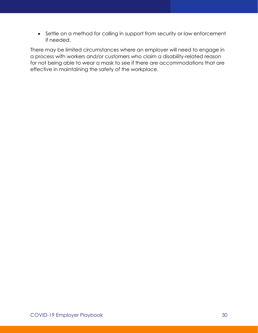• Settle on a method for calling in support from security or law enforcement if needed.

There may be limited circumstances where an employer will need to engage in a process with workers and/or customers who claim a disability-related reason for not being able to wear a mask to see if there are accommodations that are effective in maintaining the safety of the workplace.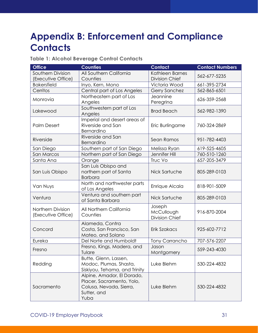# <span id="page-31-0"></span>**Appendix B: Enforcement and Compliance Contacts**

#### **Table 1: Alcohol Beverage Control Contacts**

| <b>Office</b>                           | <b>Counties</b>                                                                                           | <b>Contact</b>                                | <b>Contact Numbers</b> |
|-----------------------------------------|-----------------------------------------------------------------------------------------------------------|-----------------------------------------------|------------------------|
| Southern Division<br>(Executive Office) | All Southern California<br>Counties                                                                       | Kathleen Barnes<br><b>Division Chief</b>      | 562-677-5235           |
| <b>Bakersfield</b>                      | Inyo, Kern, Mono                                                                                          | Victoria Wood                                 | 661-395-2734           |
| Cerritos                                | Central part of Los Angeles                                                                               | <b>Gerry Sanchez</b>                          | 562-865-6501           |
| Monrovia                                | Northeastern part of Los<br>Angeles                                                                       | Jeannine<br>Peregrina                         | 626-359-2568           |
| Lakewood                                | Southwestern part of Los<br>Angeles                                                                       | <b>Brad Beach</b>                             | 562-982-1390           |
| <b>Palm Desert</b>                      | Imperial and desert areas of<br>Riverside and San<br>Bernardino                                           | Eric Burlingame                               | 760-324-2869           |
| Riverside                               | Riverside and San<br>Bernardino                                                                           | Sean Ramos                                    | 951-782-4403           |
| San Diego                               | Southern part of San Diego                                                                                | Melissa Ryan                                  | 619-525-4605           |
| San Marcos                              | Northern part of San Diego                                                                                | Jennifer Hill                                 | 760-510-1260           |
| Santa Ana                               | Orange                                                                                                    | Truc Vo                                       | 657-205-3479           |
| San Luis Obispo                         | San Luis Obispo and<br>northern part of Santa<br><b>Barbara</b>                                           | Nick Sartuche                                 | 805-289-0103           |
| Van Nuys                                | North and northwester parts<br>of Los Angeles                                                             | Enrique Alcala                                | 818-901-5009           |
| Ventura                                 | Ventura and southern part<br>of Santa Barbara                                                             | Nick Sartuche                                 | 805-289-0103           |
| Northern Division<br>(Executive Office) | All Northern California<br>Counties                                                                       | Joseph<br>McCullough<br><b>Division Chief</b> | 916-870-2004           |
| Concord                                 | Alameda, Contra<br>Costa, San Francisco, San<br>Mateo, and Solano                                         | Erik Szakacs                                  | 925-602-7712           |
| Eureka                                  | Del Norte and Humboldt                                                                                    | <b>Tony Carrancho</b>                         | 707-576-2207           |
| Fresno                                  | Fresno, Kings, Madera, and<br>Tulare                                                                      | Jason<br>Montgomery                           | 559-243-4030           |
| Redding                                 | Butte, Glenn, Lassen,<br>Modoc, Plumas, Shasta,<br>Siskiyou, Tehama, and Trinity                          | Luke Blehm                                    | 530-224-4832           |
| Sacramento                              | Alpine, Amador, El Dorado,<br>Placer, Sacramento, Yolo,<br>Colusa, Nevada, Sierra,<br>Sutter, and<br>Yuba | Luke Blehm                                    | 530-224-4832           |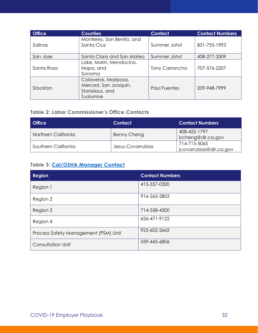| <b>Office</b> | <b>Counties</b>                                                             | <b>Contact</b>        | <b>Contact Numbers</b> |
|---------------|-----------------------------------------------------------------------------|-----------------------|------------------------|
| Salinas       | Monterey, San Benito, and<br>Santa Cruz                                     | Summer Johst          | 831-755-1993           |
| San Jose      | Santa Clara and San Mateo                                                   | Summer Johst          | 408-277-3309           |
| Santa Rosa    | Lake, Marin, Mendocino,<br>Napa, and<br>Sonoma                              | <b>Tony Carrancho</b> | 707-576-2207           |
| Stockton      | Calaveras, Mariposa,<br>Merced, San Joaquin,<br>Stanislaus, and<br>Tuolumne | <b>Paul Fuentes</b>   | 209-948-7999           |

#### **Table 2: Labor Commissioner's Office Contacts**

| <b>Office</b>       | <b>Contact</b>    | <b>Contact Numbers</b>                  |
|---------------------|-------------------|-----------------------------------------|
| Northern California | Benny Cheng       | 408-422-1797<br>bcheng@dir.ca.gov       |
| Southern California | Jesus Covarrubias | 714-715-5065<br>jcovarrubias@dir.ca.gov |

#### **Table 3: [Cal/OSHA Manager Contact](https://www.dir.ca.gov/dosh/DistrictOffices.htm)**

| <b>Region</b>                        | <b>Contact Numbers</b> |
|--------------------------------------|------------------------|
| Region 1                             | 415-557-0300           |
| Region 2                             | 916-263-2803           |
| Region 3                             | 714-558-4300           |
| Region 4                             | 626-471-9122           |
| Process Safety Management (PSM) Unit | 925-602-2665           |
| <b>Consultation Unit</b>             | 559-445-6806           |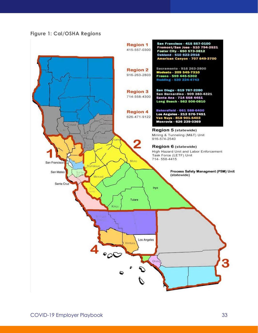#### **Figure 1: Cal/OSHA Regions**

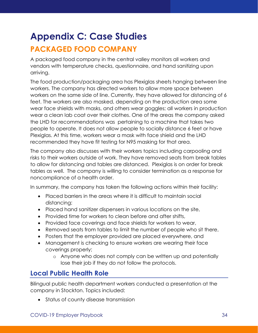# <span id="page-34-0"></span>**Appendix C: Case Studies**

### <span id="page-34-1"></span>**PACKAGED FOOD COMPANY**

A packaged food company in the central valley monitors all workers and vendors with temperature checks, questionnaire, and hand sanitizing upon arriving.

The food production/packaging area has Plexiglas sheets hanging between line workers. The company has directed workers to allow more space between workers on the same side of line. Currently, they have allowed for distancing of 6 feet. The workers are also masked, depending on the production area some wear face shields with masks, and others wear goggles; all workers in production wear a clean lab coat over their clothes. One of the areas the company asked the LHD for recommendations was pertaining to a machine that takes two people to operate. It does not allow people to socially distance 6 feet or have Plexiglas. At this time, workers wear a mask with face shield and the LHD recommended they have fit testing for N95 masking for that area.

The company also discusses with their workers topics including carpooling and risks to their workers outside of work. They have removed seats from break tables to allow for distancing and tables are distanced. Plexiglas is on order for break tables as well. The company is willing to consider termination as a response for noncompliance of a health order.

In summary, the company has taken the following actions within their facility:

- Placed barriers in the areas where it is difficult to maintain social distancing;
- Placed hand sanitizer dispensers in various locations on the site,
- Provided time for workers to clean before and after shifts,
- Provided face coverings and face shields for workers to wear,
- Removed seats from tables to limit the number of people who sit there,
- Posters that the employer provided are placed everywhere, and
- Management is checking to ensure workers are wearing their face coverings properly;
	- o Anyone who does not comply can be written up and potentially lose their job if they do not follow the protocols.

#### <span id="page-34-2"></span>**Local Public Health Role**

Bilingual public health department workers conducted a presentation at the company in Stockton. Topics included:

• Status of county disease transmission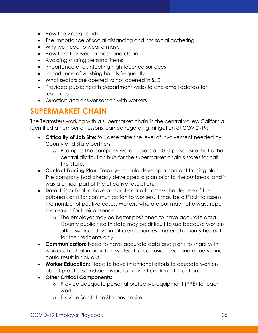- How the virus spreads
- The importance of social distancing and not social gathering
- Why we need to wear a mask
- How to safely wear a mask and clean it
- Avoiding sharing personal items
- Importance of disinfecting high touched surfaces
- Importance of washing hands frequently
- What sectors are opened vs not opened in SJC
- Provided public health department website and email address for resources
- Question and answer session with workers

### <span id="page-35-0"></span>**SUPERMARKET CHAIN**

The Teamsters working with a supermarket chain in the central valley, California identified a number of lessons learned regarding mitigation of COVID-19:

- **Criticality of Job Site:** Will determine the level of involvement needed by County and State partners.
	- o Example: The company warehouse is a 1,000-person site that is the central distribution hub for the supermarket chain's stores for half the State.
- **Contact Tracing Plan:** Employer should develop a contact tracing plan. The company had already developed a plan prior to the outbreak, and it was a critical part of the effective resolution.
- **Data:** It is critical to have accurate data to assess the degree of the outbreak and for communication to workers. It may be difficult to assess the number of positive cases. Workers who are out may not always report the reason for their absence.
	- o The employer may be better positioned to have accurate data. County public health data may be difficult to use because workers often work and live in different counties and each county has data for their residents only.
- **Communication:** Need to have accurate data and plans to share with workers. Lack of information will lead to confusion, fear and anxiety, and could result in sick-out.
- **Worker Education:** Need to have intentional efforts to educate workers about practices and behaviors to prevent continued infection.
- **Other Critical Components:**
	- o Provide adequate personal protective equipment (PPE) for each worker
	- o Provide Sanitation Stations on site